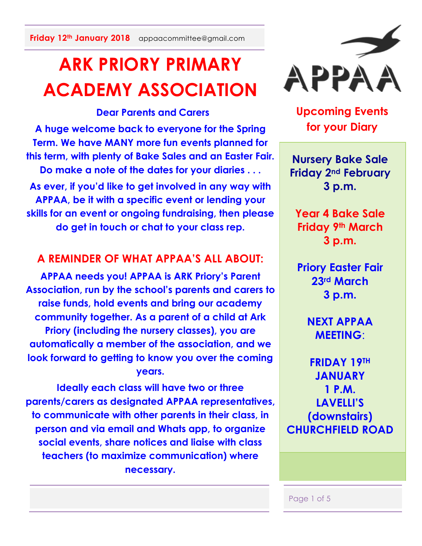**Friday 12th January 2018** appaacommittee@gmail.com

# **ARK PRIORY PRIMARY ACADEMY ASSOCIATION**

## **Dear Parents and Carers**

**A huge welcome back to everyone for the Spring Term. We have MANY more fun events planned for this term, with plenty of Bake Sales and an Easter Fair. Do make a note of the dates for your diaries . . . As ever, if you'd like to get involved in any way with** 

**APPAA, be it with a specific event or lending your skills for an event or ongoing fundraising, then please do get in touch or chat to your class rep.**

## **A REMINDER OF WHAT APPAA'S ALL ABOUT:**

**APPAA needs you! APPAA is ARK Priory's Parent Association, run by the school's parents and carers to raise funds, hold events and bring our academy community together. As a parent of a child at Ark Priory (including the nursery classes), you are automatically a member of the association, and we look forward to getting to know you over the coming years.**

**Ideally each class will have two or three parents/carers as designated APPAA representatives, to communicate with other parents in their class, in person and via email and Whats app, to organize social events, share notices and liaise with class teachers (to maximize communication) where necessary.** 



**Upcoming Events for your Diary**

**Nursery Bake Sale Friday 2nd February 3 p.m.**

**Year 4 Bake Sale Friday 9th March 3 p.m.**

**Priory Easter Fair 23rd March 3 p.m.**

> **NEXT APPAA MEETING**:

**FRIDAY 19TH JANUARY 1 P.M. LAVELLI'S (downstairs) CHURCHFIELD ROAD**

Page 1 of 5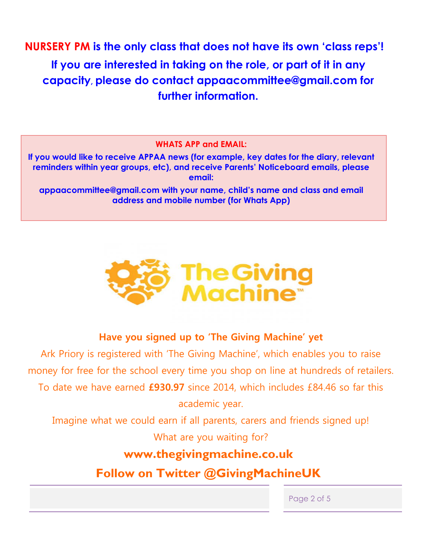**NURSERY PM is the only class that does not have its own 'class reps'! If you are interested in taking on the role, or part of it in any capacity, please do contact appaacommittee@gmail.com for further information.**

#### **WHATS APP and EMAIL:**

**If you would like to receive APPAA news (for example, key dates for the diary, relevant reminders within year groups, etc), and receive Parents' Noticeboard emails, please email:**

**appaacommittee@gmail.com with your name, child's name and class and email address and mobile number (for Whats App)**



## **Have you signed up to 'The Giving Machine' yet**

Ark Priory is registered with 'The Giving Machine', which enables you to raise money for free for the school every time you shop on line at hundreds of retailers. To date we have earned **£930.97** since 2014, which includes £84.46 so far this academic year.

Imagine what we could earn if all parents, carers and friends signed up! What are you waiting for?

## **www.thegivingmachine.co.uk**

**Follow on Twitter @GivingMachineUK**

Page 2 of 5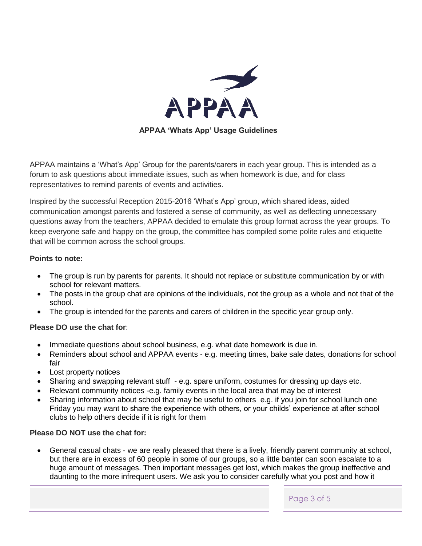

APPAA maintains a 'What's App' Group for the parents/carers in each year group. This is intended as a forum to ask questions about immediate issues, such as when homework is due, and for class representatives to remind parents of events and activities.

Inspired by the successful Reception 2015-2016 'What's App' group, which shared ideas, aided communication amongst parents and fostered a sense of community, as well as deflecting unnecessary questions away from the teachers, APPAA decided to emulate this group format across the year groups. To keep everyone safe and happy on the group, the committee has compiled some polite rules and etiquette that will be common across the school groups.

#### **Points to note:**

- The group is run by parents for parents. It should not replace or substitute communication by or with school for relevant matters.
- The posts in the group chat are opinions of the individuals, not the group as a whole and not that of the school.
- The group is intended for the parents and carers of children in the specific year group only.

#### **Please DO use the chat for**:

- Immediate questions about school business, e.g. what date homework is due in.
- Reminders about school and APPAA events e.g. meeting times, bake sale dates, donations for school fair
- Lost property notices
- Sharing and swapping relevant stuff e.g. spare uniform, costumes for dressing up days etc.
- Relevant community notices -e.g. family events in the local area that may be of interest
- Sharing information about school that may be useful to others e.g. if you join for school lunch one Friday you may want to share the experience with others, or your childs' experience at after school clubs to help others decide if it is right for them

#### **Please DO NOT use the chat for:**

 General casual chats - we are really pleased that there is a lively, friendly parent community at school, but there are in excess of 60 people in some of our groups, so a little banter can soon escalate to a huge amount of messages. Then important messages get lost, which makes the group ineffective and daunting to the more infrequent users. We ask you to consider carefully what you post and how it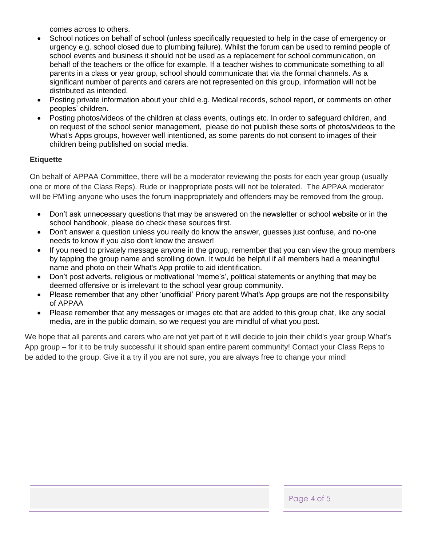comes across to others.

- School notices on behalf of school (unless specifically requested to help in the case of emergency or urgency e.g. school closed due to plumbing failure). Whilst the forum can be used to remind people of school events and business it should not be used as a replacement for school communication, on behalf of the teachers or the office for example. If a teacher wishes to communicate something to all parents in a class or year group, school should communicate that via the formal channels. As a significant number of parents and carers are not represented on this group, information will not be distributed as intended.
- Posting private information about your child e.g. Medical records, school report, or comments on other peoples' children.
- Posting photos/videos of the children at class events, outings etc. In order to safeguard children, and on request of the school senior management, please do not publish these sorts of photos/videos to the What's Apps groups, however well intentioned, as some parents do not consent to images of their children being published on social media.

#### **Etiquette**

On behalf of APPAA Committee, there will be a moderator reviewing the posts for each year group (usually one or more of the Class Reps). Rude or inappropriate posts will not be tolerated. The APPAA moderator will be PM'ing anyone who uses the forum inappropriately and offenders may be removed from the group.

- Don't ask unnecessary questions that may be answered on the newsletter or school website or in the school handbook, please do check these sources first.
- Don't answer a question unless you really do know the answer, guesses just confuse, and no-one needs to know if you also don't know the answer!
- If you need to privately message anyone in the group, remember that you can view the group members by tapping the group name and scrolling down. It would be helpful if all members had a meaningful name and photo on their What's App profile to aid identification.
- Don't post adverts, religious or motivational 'meme's', political statements or anything that may be deemed offensive or is irrelevant to the school year group community.
- Please remember that any other 'unofficial' Priory parent What's App groups are not the responsibility of APPAA
- Please remember that any messages or images etc that are added to this group chat, like any social media, are in the public domain, so we request you are mindful of what you post.

We hope that all parents and carers who are not yet part of it will decide to join their child's year group What's App group – for it to be truly successful it should span entire parent community! Contact your Class Reps to be added to the group. Give it a try if you are not sure, you are always free to change your mind!

Page 4 of 5